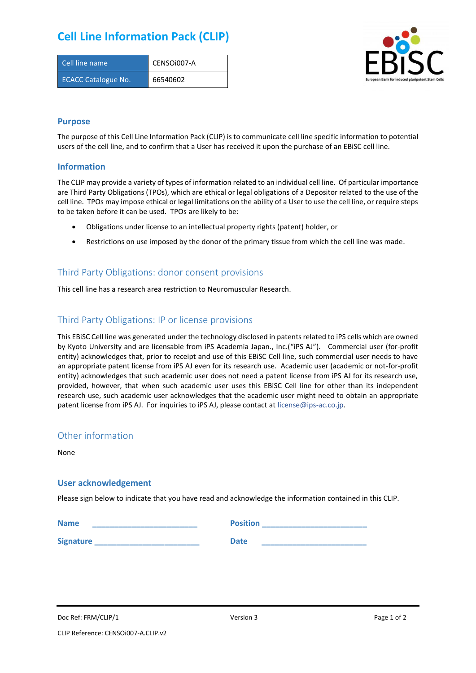# **Cell Line Information Pack (CLIP)**

| Cell line name             | CENSOi007-A |
|----------------------------|-------------|
| <b>ECACC Catalogue No.</b> | 66540602    |



#### **Purpose**

The purpose of this Cell Line Information Pack (CLIP) is to communicate cell line specific information to potential users of the cell line, and to confirm that a User has received it upon the purchase of an EBiSC cell line.

#### **Information**

The CLIP may provide a variety of types of information related to an individual cell line. Of particular importance are Third Party Obligations (TPOs), which are ethical or legal obligations of a Depositor related to the use of the cell line. TPOs may impose ethical or legal limitations on the ability of a User to use the cell line, or require steps to be taken before it can be used. TPOs are likely to be:

- Obligations under license to an intellectual property rights (patent) holder, or
- Restrictions on use imposed by the donor of the primary tissue from which the cell line was made.

## Third Party Obligations: donor consent provisions

This cell line has a research area restriction to Neuromuscular Research.

### Third Party Obligations: IP or license provisions

This EBiSC Cell line was generated under the technology disclosed in patents related to iPS cells which are owned by Kyoto University and are licensable from iPS Academia Japan., Inc.("iPS AJ"). Commercial user (for-profit entity) acknowledges that, prior to receipt and use of this EBiSC Cell line, such commercial user needs to have an appropriate patent license from iPS AJ even for its research use. Academic user (academic or not-for-profit entity) acknowledges that such academic user does not need a patent license from iPS AJ for its research use, provided, however, that when such academic user uses this EBiSC Cell line for other than its independent research use, such academic user acknowledges that the academic user might need to obtain an appropriate patent license from iPS AJ. For inquiries to iPS AJ, please contact at [license@ips-ac.co.jp.](mailto:license@ips-ac.co.jp)

#### Other information

None

#### **User acknowledgement**

Please sign below to indicate that you have read and acknowledge the information contained in this CLIP.

| <b>Name</b>      | <b>Position</b> |
|------------------|-----------------|
| <b>Signature</b> | <b>Date</b>     |

Doc Ref: FRM/CLIP/1 **Docessition** 2 Page 1 of 2 Version 3 **Page 1 of 2** Page 1 of 2